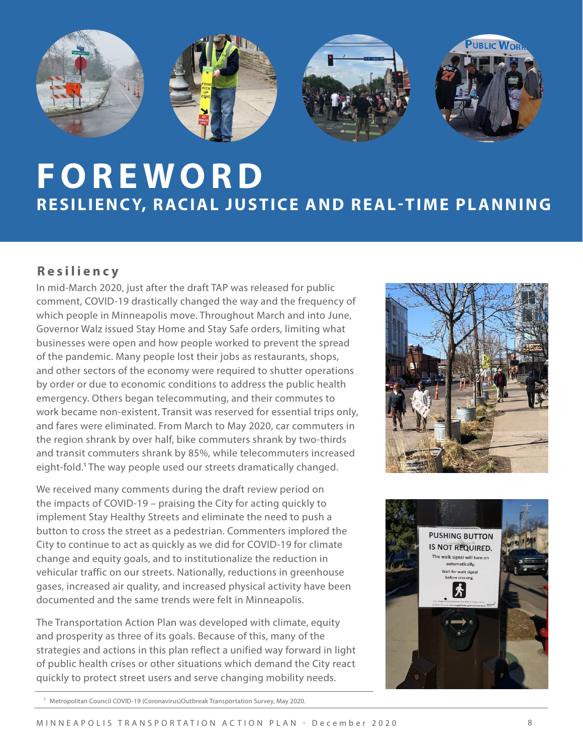

## **FOREWORD RESILIENCY, RACIAL JUSTICE AND REAL-TIME PLANNING**

## **Resiliency**

In mid-March 2020, just after the draft TAP was released for public comment, COVID-19 drastically changed the way and the frequency of which people in Minneapolis move. Throughout March and into June, Governor Walz issued Stay Home and Stay Safe orders, limiting what businesses were open and how people worked to prevent the spread of the pandemic. Many people lost their jobs as restaurants, shops, and other sectors of the economy were required to shutter operations by order or due to economic conditions to address the public health emergency. Others began telecommuting, and their commutes to work became non-existent. Transit was reserved for essential trips only, and fares were eliminated. From March to May 2020, car commuters in the region shrank by over half, bike commuters shrank by two-thirds and transit commuters shrank by 85%, while telecommuters increased eight-fold.<sup>1</sup> The way people used our streets dramatically changed.

We received many comments during the draft review period on the impacts of COVID-19 – praising the City for acting quickly to implement Stay Healthy Streets and eliminate the need to push a button to cross the street as a pedestrian. Commenters implored the City to continue to act as quickly as we did for COVID-19 for climate change and equity goals, and to institutionalize the reduction in vehicular traffic on our streets. Nationally, reductions in greenhouse gases, increased air quality, and increased physical activity have been documented and the same trends were felt in Minneapolis.

The Transportation Action Plan was developed with climate, equity and prosperity as three of its goals. Because of this, many of the strategies and actions in this plan reflect a unified way forward in light of public health crises or other situations which demand the City react quickly to protect street users and serve changing mobility needs.





<sup>&</sup>lt;sup>1</sup> Metropolitan Council COVID-19 (Coronavirus)Outbreak Transportation Survey, May 2020.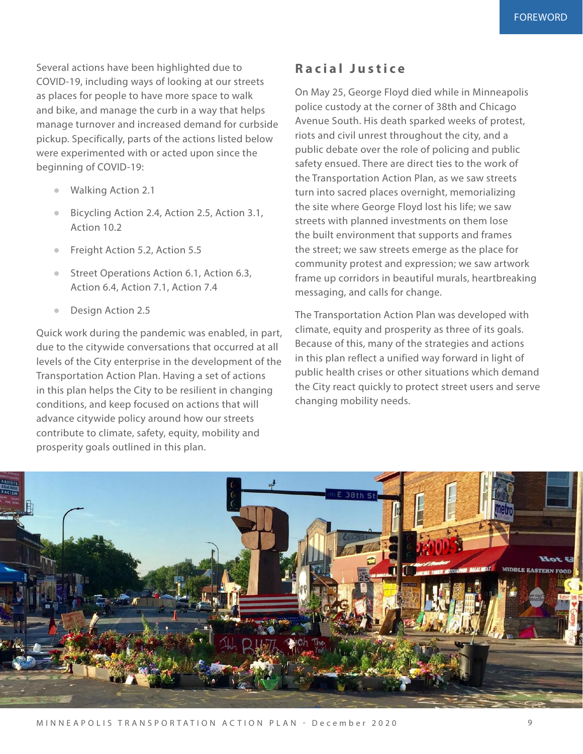Several actions have been highlighted due to COVID-19, including ways of looking at our streets as places for people to have more space to walk and bike, and manage the curb in a way that helps manage turnover and increased demand for curbside pickup. Specifically, parts of the actions listed below were experimented with or acted upon since the beginning of COVID-19:

- Walking Action 2.1
- Bicycling Action 2.4, Action 2.5, Action 3.1, Action 10.2
- Freight Action 5.2, Action 5.5
- Street Operations Action 6.1, Action 6.3, Action 6.4, Action 7.1, Action 7.4
- Design Action 2.5

Quick work during the pandemic was enabled, in part, due to the citywide conversations that occurred at all levels of the City enterprise in the development of the Transportation Action Plan. Having a set of actions in this plan helps the City to be resilient in changing conditions, and keep focused on actions that will advance citywide policy around how our streets contribute to climate, safety, equity, mobility and prosperity goals outlined in this plan.

## **Racial Justice**

On May 25, George Floyd died while in Minneapolis police custody at the corner of 38th and Chicago Avenue South. His death sparked weeks of protest, riots and civil unrest throughout the city, and a public debate over the role of policing and public safety ensued. There are direct ties to the work of the Transportation Action Plan, as we saw streets turn into sacred places overnight, memorializing the site where George Floyd lost his life; we saw streets with planned investments on them lose the built environment that supports and frames the street; we saw streets emerge as the place for community protest and expression; we saw artwork frame up corridors in beautiful murals, heartbreaking messaging, and calls for change.

The Transportation Action Plan was developed with climate, equity and prosperity as three of its goals. Because of this, many of the strategies and actions in this plan reflect a unified way forward in light of public health crises or other situations which demand the City react quickly to protect street users and serve changing mobility needs.

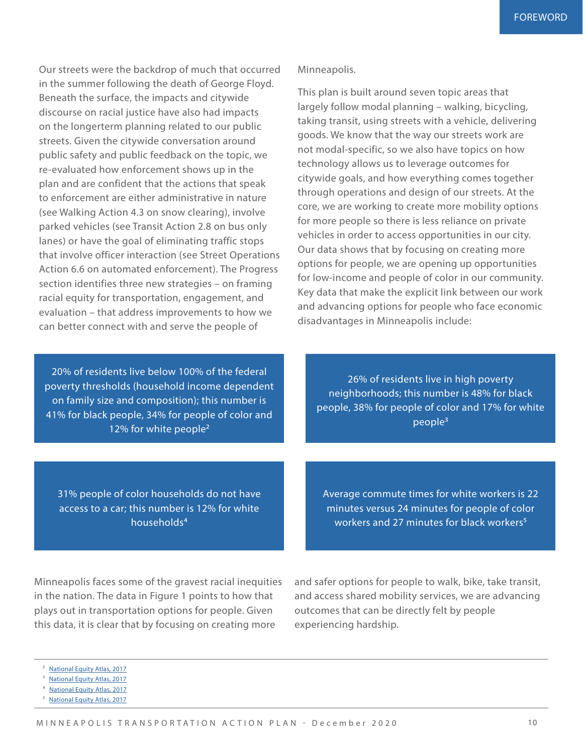Our streets were the backdrop of much that occurred in the summer following the death of George Floyd. Beneath the surface, the impacts and citywide discourse on racial justice have also had impacts on the longerterm planning related to our public streets. Given the citywide conversation around public safety and public feedback on the topic, we re-evaluated how enforcement shows up in the plan and are confident that the actions that speak to enforcement are either administrative in nature (see Walking Action 4.3 on snow clearing), involve parked vehicles (see Transit Action 2.8 on bus only lanes) or have the goal of eliminating traffic stops that involve officer interaction (see Street Operations Action 6.6 on automated enforcement). The Progress section identifies three new strategies – on framing racial equity for transportation, engagement, and evaluation – that address improvements to how we can better connect with and serve the people of

20% of residents live below 100% of the federal poverty thresholds (household income dependent on family size and composition); this number is 41% for black people, 34% for people of color and 12% for white people<sup>2</sup>

Minneapolis.

This plan is built around seven topic areas that largely follow modal planning – walking, bicycling, taking transit, using streets with a vehicle, delivering goods. We know that the way our streets work are not modal-specific, so we also have topics on how technology allows us to leverage outcomes for citywide goals, and how everything comes together through operations and design of our streets. At the core, we are working to create more mobility options for more people so there is less reliance on private vehicles in order to access opportunities in our city. Our data shows that by focusing on creating more options for people, we are opening up opportunities for low-income and people of color in our community. Key data that make the explicit link between our work and advancing options for people who face economic disadvantages in Minneapolis include:

26% of residents live in high poverty neighborhoods; this number is 48% for black people, 38% for people of color and 17% for white people3

31% people of color households do not have access to a car; this number is 12% for white households4

Average commute times for white workers is 22 minutes versus 24 minutes for people of color workers and 27 minutes for black workers<sup>5</sup>

Minneapolis faces some of the gravest racial inequities in the nation. The data in Figure 1 points to how that plays out in transportation options for people. Given this data, it is clear that by focusing on creating more

and safer options for people to walk, bike, take transit, and access shared mobility services, we are advancing outcomes that can be directly felt by people experiencing hardship.

5 [National Equity Atlas, 2017](https://nationalequityatlas.org/indicators/Commute_time#/)

<sup>&</sup>lt;sup>2</sup> [National Equity Atlas, 2017](https://nationalequityatlas.org/indicators/poverty#/)

<sup>&</sup>lt;sup>3</sup> [National Equity Atlas, 2017](https://nationalequityatlas.org/indicators/Neighborhood_poverty#/)

[National Equity Atlas, 2017](https://nationalequityatlas.org/indicators/Car_access#/?geo=07000000002743000)